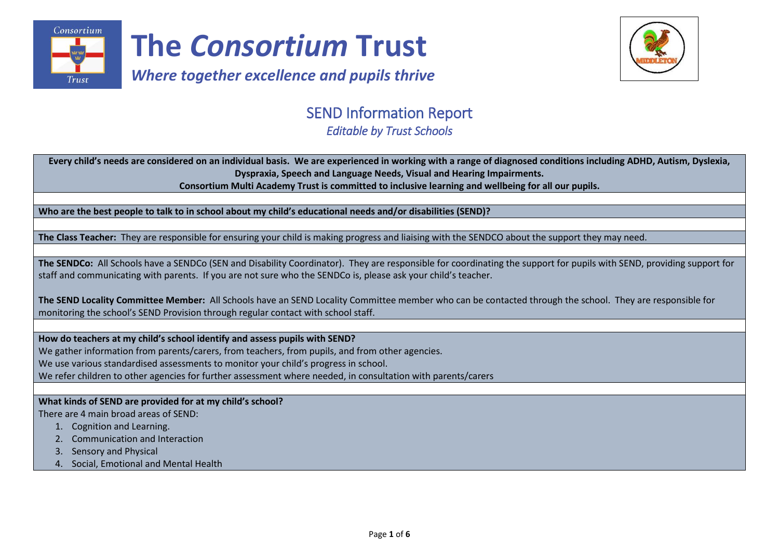



# SEND Information Report

*Editable by Trust Schools* 

 **Every child's needs are considered on an individual basis. We are experienced in working with a range of diagnosed conditions including ADHD, Autism, Dyslexia, Dyspraxia, Speech and Language Needs, Visual and Hearing Impairments.**

**Consortium Multi Academy Trust is committed to inclusive learning and wellbeing for all our pupils.**

**Who are the best people to talk to in school about my child's educational needs and/or disabilities (SEND)?**

**The Class Teacher:** They are responsible for ensuring your child is making progress and liaising with the SENDCO about the support they may need.

**The SENDCo:** All Schools have a SENDCo (SEN and Disability Coordinator). They are responsible for coordinating the support for pupils with SEND, providing support for staff and communicating with parents. If you are not sure who the SENDCo is, please ask your child's teacher.

**The SEND Locality Committee Member:** All Schools have an SEND Locality Committee member who can be contacted through the school. They are responsible for monitoring the school's SEND Provision through regular contact with school staff.

**How do teachers at my child's school identify and assess pupils with SEND?**

We gather information from parents/carers, from teachers, from pupils, and from other agencies.

We use various standardised assessments to monitor your child's progress in school.

We refer children to other agencies for further assessment where needed, in consultation with parents/carers

**What kinds of SEND are provided for at my child's school?**

There are 4 main broad areas of SEND:

- 1. Cognition and Learning.
- 2. Communication and Interaction
- 3. Sensory and Physical
- 4. Social, Emotional and Mental Health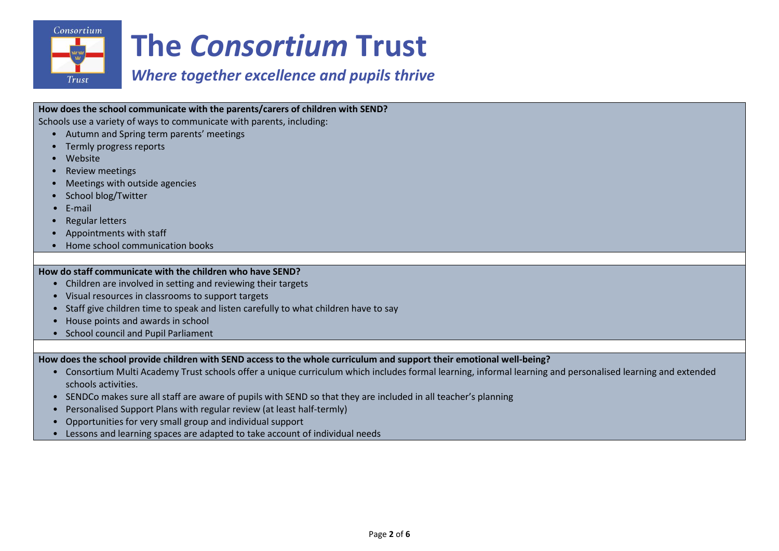

# *Where together excellence and pupils thrive*

## **How does the school communicate with the parents/carers of children with SEND?**

Schools use a variety of ways to communicate with parents, including:

- Autumn and Spring term parents' meetings
- Termly progress reports
- Website
- Review meetings
- Meetings with outside agencies
- School blog/Twitter
- E-mail
- Regular letters
- Appointments with staff
- Home school communication books

#### **How do staff communicate with the children who have SEND?**

- Children are involved in setting and reviewing their targets
- Visual resources in classrooms to support targets
- Staff give children time to speak and listen carefully to what children have to say
- House points and awards in school
- School council and Pupil Parliament

**How does the school provide children with SEND access to the whole curriculum and support their emotional well-being?**

- Consortium Multi Academy Trust schools offer a unique curriculum which includes formal learning, informal learning and personalised learning and extended schools activities.
- SENDCo makes sure all staff are aware of pupils with SEND so that they are included in all teacher's planning
- Personalised Support Plans with regular review (at least half-termly)
- Opportunities for very small group and individual support
- Lessons and learning spaces are adapted to take account of individual needs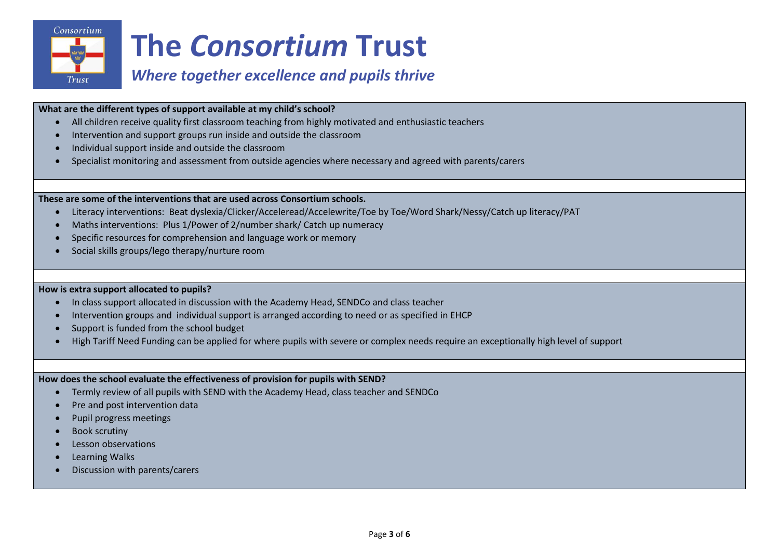

# *Where together excellence and pupils thrive*

#### **What are the different types of support available at my child's school?**

- All children receive quality first classroom teaching from highly motivated and enthusiastic teachers
- Intervention and support groups run inside and outside the classroom
- Individual support inside and outside the classroom
- Specialist monitoring and assessment from outside agencies where necessary and agreed with parents/carers

## **These are some of the interventions that are used across Consortium schools.**

- Literacy interventions: Beat dyslexia/Clicker/Acceleread/Accelewrite/Toe by Toe/Word Shark/Nessy/Catch up literacy/PAT
- Maths interventions: Plus 1/Power of 2/number shark/ Catch up numeracy
- Specific resources for comprehension and language work or memory
- Social skills groups/lego therapy/nurture room

## **How is extra support allocated to pupils?**

- In class support allocated in discussion with the Academy Head, SENDCo and class teacher
- Intervention groups and individual support is arranged according to need or as specified in EHCP
- Support is funded from the school budget
- High Tariff Need Funding can be applied for where pupils with severe or complex needs require an exceptionally high level of support

## **How does the school evaluate the effectiveness of provision for pupils with SEND?**

- Termly review of all pupils with SEND with the Academy Head, class teacher and SENDCo
- Pre and post intervention data
- Pupil progress meetings
- Book scrutiny
- Lesson observations
- Learning Walks
- Discussion with parents/carers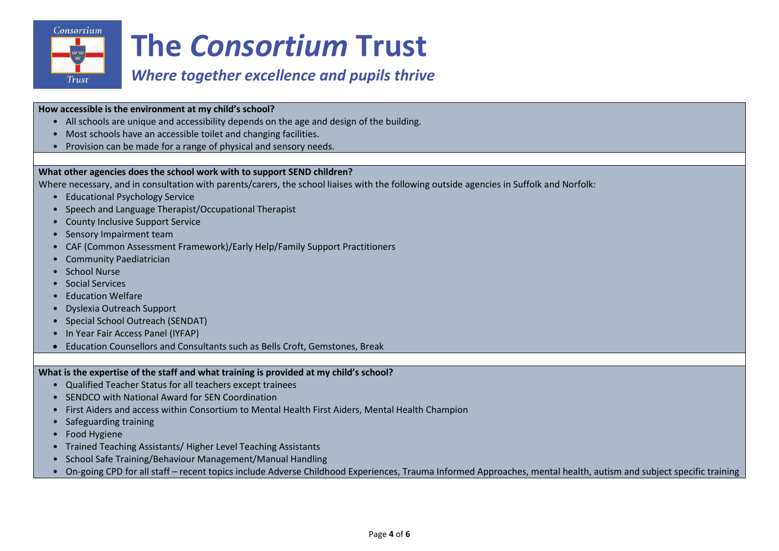

# *Where together excellence and pupils thrive*

#### **How accessible is the environment at my child's school?**

- All schools are unique and accessibility depends on the age and design of the building.
- Most schools have an accessible toilet and changing facilities.
- Provision can be made for a range of physical and sensory needs.

## **What other agencies does the school work with to support SEND children?**

Where necessary, and in consultation with parents/carers, the school liaises with the following outside agencies in Suffolk and Norfolk:

- Educational Psychology Service
- Speech and Language Therapist/Occupational Therapist
- County Inclusive Support Service
- Sensory Impairment team
- CAF (Common Assessment Framework)/Early Help/Family Support Practitioners
- Community Paediatrician
- School Nurse
- Social Services
- Education Welfare
- Dyslexia Outreach Support
- Special School Outreach (SENDAT)
- In Year Fair Access Panel (IYFAP)
- Education Counsellors and Consultants such as Bells Croft, Gemstones, Break

**What is the expertise of the staff and what training is provided at my child's school?**

- Qualified Teacher Status for all teachers except trainees
- SENDCO with National Award for SEN Coordination
- First Aiders and access within Consortium to Mental Health First Aiders, Mental Health Champion
- Safeguarding training
- Food Hygiene
- Trained Teaching Assistants/ Higher Level Teaching Assistants
- School Safe Training/Behaviour Management/Manual Handling
- On-going CPD for all staff recent topics include Adverse Childhood Experiences, Trauma Informed Approaches, mental health, autism and subject specific training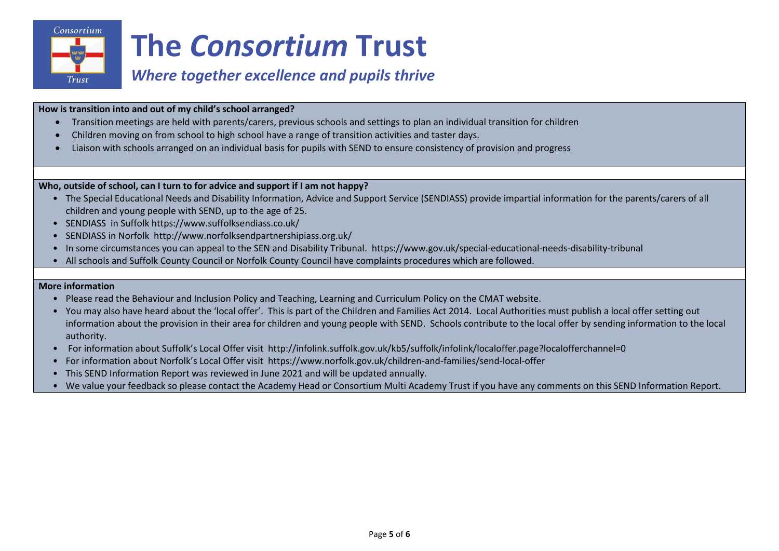

# *Where together excellence and pupils thrive*

## **How is transition into and out of my child's school arranged?**

- Transition meetings are held with parents/carers, previous schools and settings to plan an individual transition for children
- Children moving on from school to high school have a range of transition activities and taster days.
- Liaison with schools arranged on an individual basis for pupils with SEND to ensure consistency of provision and progress

## **Who, outside of school, can I turn to for advice and support if I am not happy?**

- The Special Educational Needs and Disability Information, Advice and Support Service (SENDIASS) provide impartial information for the parents/carers of all children and young people with SEND, up to the age of 25.
- SENDIASS in Suffolk https://www.suffolksendiass.co.uk/
- SENDIASS in Norfolk http://www.norfolksendpartnershipiass.org.uk/
- In some circumstances you can appeal to the SEN and Disability Tribunal. https://www.gov.uk/special-educational-needs-disability-tribunal
- All schools and Suffolk County Council or Norfolk County Council have complaints procedures which are followed.

#### **More information**

- Please read the Behaviour and Inclusion Policy and Teaching, Learning and Curriculum Policy on the CMAT website.
- You may also have heard about the 'local offer'. This is part of the Children and Families Act 2014. Local Authorities must publish a local offer setting out information about the provision in their area for children and young people with SEND. Schools contribute to the local offer by sending information to the local authority.
- For information about Suffolk's Local Offer visit http://infolink.suffolk.gov.uk/kb5/suffolk/infolink/localoffer.page?localofferchannel=0
- For information about Norfolk's Local Offer visit https://www.norfolk.gov.uk/children-and-families/send-local-offer
- This SEND Information Report was reviewed in June 2021 and will be updated annually.
- We value your feedback so please contact the Academy Head or Consortium Multi Academy Trust if you have any comments on this SEND Information Report.